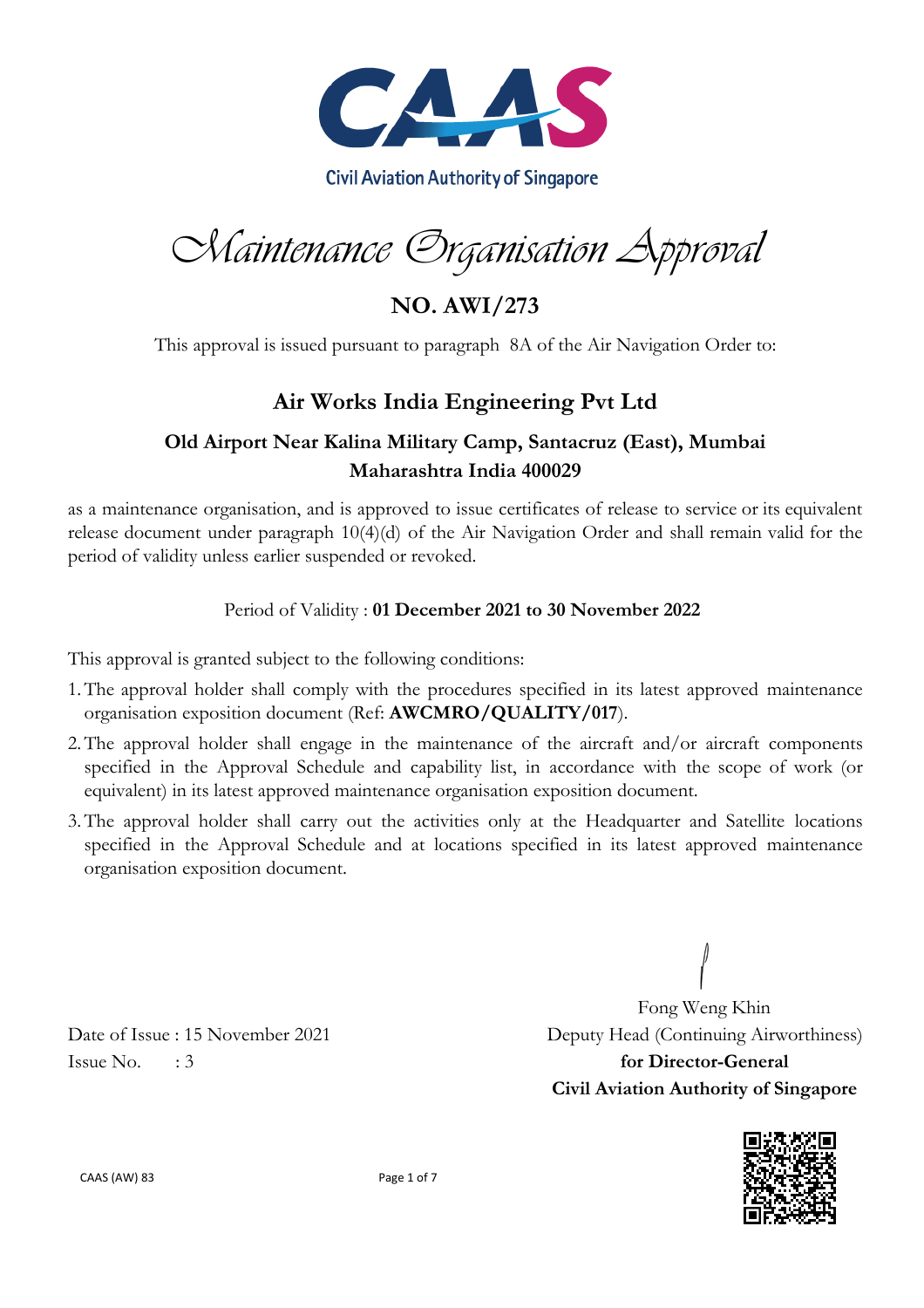

Maintenance Organisation Approval

**NO. AWI/273**

This approval is issued pursuant to paragraph 8A of the Air Navigation Order to:

### **Air Works India Engineering Pvt Ltd**

#### **Old Airport Near Kalina Military Camp, Santacruz (East), Mumbai Maharashtra India 400029**

as a maintenance organisation, and is approved to issue certificates of release to service or its equivalent release document under paragraph 10(4)(d) of the Air Navigation Order and shall remain valid for the period of validity unless earlier suspended or revoked.

#### Period of Validity : **01 December 2021 to 30 November 2022**

This approval is granted subject to the following conditions:

- 1.The approval holder shall comply with the procedures specified in its latest approved maintenance organisation exposition document (Ref: **AWCMRO/QUALITY/017**).
- 2.The approval holder shall engage in the maintenance of the aircraft and/or aircraft components specified in the Approval Schedule and capability list, in accordance with the scope of work (or equivalent) in its latest approved maintenance organisation exposition document.
- 3.The approval holder shall carry out the activities only at the Headquarter and Satellite locations specified in the Approval Schedule and at locations specified in its latest approved maintenance organisation exposition document.

Issue No. : 3 **for Director-General**

Fong Weng Khin Date of Issue : 15 November 2021 Deputy Head (Continuing Airworthiness) **Civil Aviation Authority of Singapore**



CAAS (AW) 83 Page 1 of 7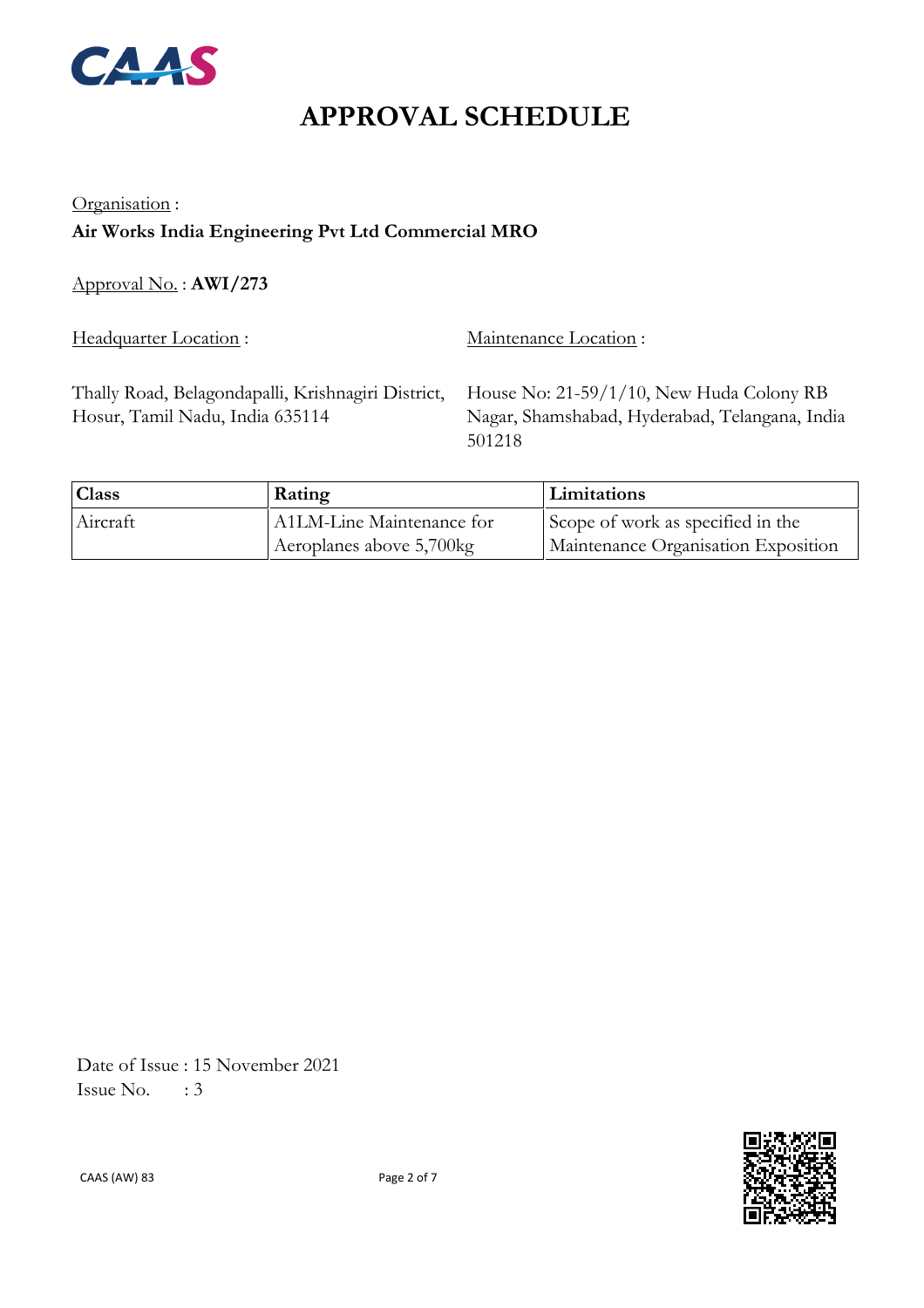

### Organisation : **Air Works India Engineering Pvt Ltd Commercial MRO**

Approval No. : **AWI/273**

Headquarter Location : Maintenance Location :

Thally Road, Belagondapalli, Krishnagiri District, Hosur, Tamil Nadu, India 635114

House No: 21-59/1/10, New Huda Colony RB Nagar, Shamshabad, Hyderabad, Telangana, India 501218

| <b>Class</b> | Rating                    | Limitations                         |
|--------------|---------------------------|-------------------------------------|
| Aircraft     | A1LM-Line Maintenance for | Scope of work as specified in the   |
|              | Aeroplanes above 5,700kg  | Maintenance Organisation Exposition |

 Date of Issue : 15 November 2021 Issue No.  $\therefore$  3

CAAS (AW) 83 Page 2 of 7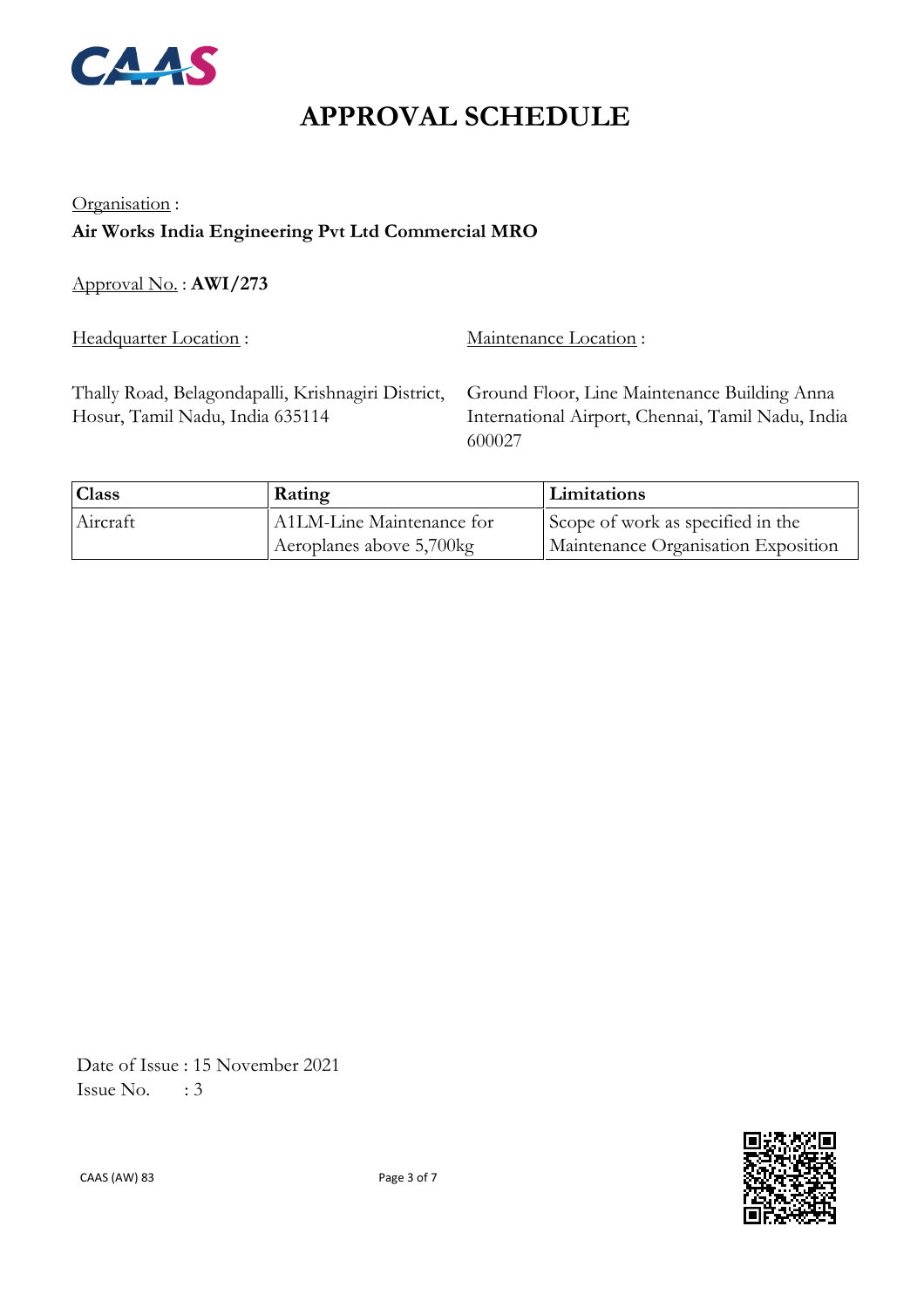

### Organisation : **Air Works India Engineering Pvt Ltd Commercial MRO**

Approval No. : **AWI/273**

Headquarter Location : Maintenance Location :

Thally Road, Belagondapalli, Krishnagiri District, Hosur, Tamil Nadu, India 635114

Ground Floor, Line Maintenance Building Anna International Airport, Chennai, Tamil Nadu, India 600027

| <sup>1</sup> Class | Rating                    | Limitations                         |
|--------------------|---------------------------|-------------------------------------|
| Aircraft           | A1LM-Line Maintenance for | Scope of work as specified in the   |
|                    | Aeroplanes above 5,700kg  | Maintenance Organisation Exposition |

 Date of Issue : 15 November 2021 Issue No.  $\therefore$  3



CAAS (AW) 83 Page 3 of 7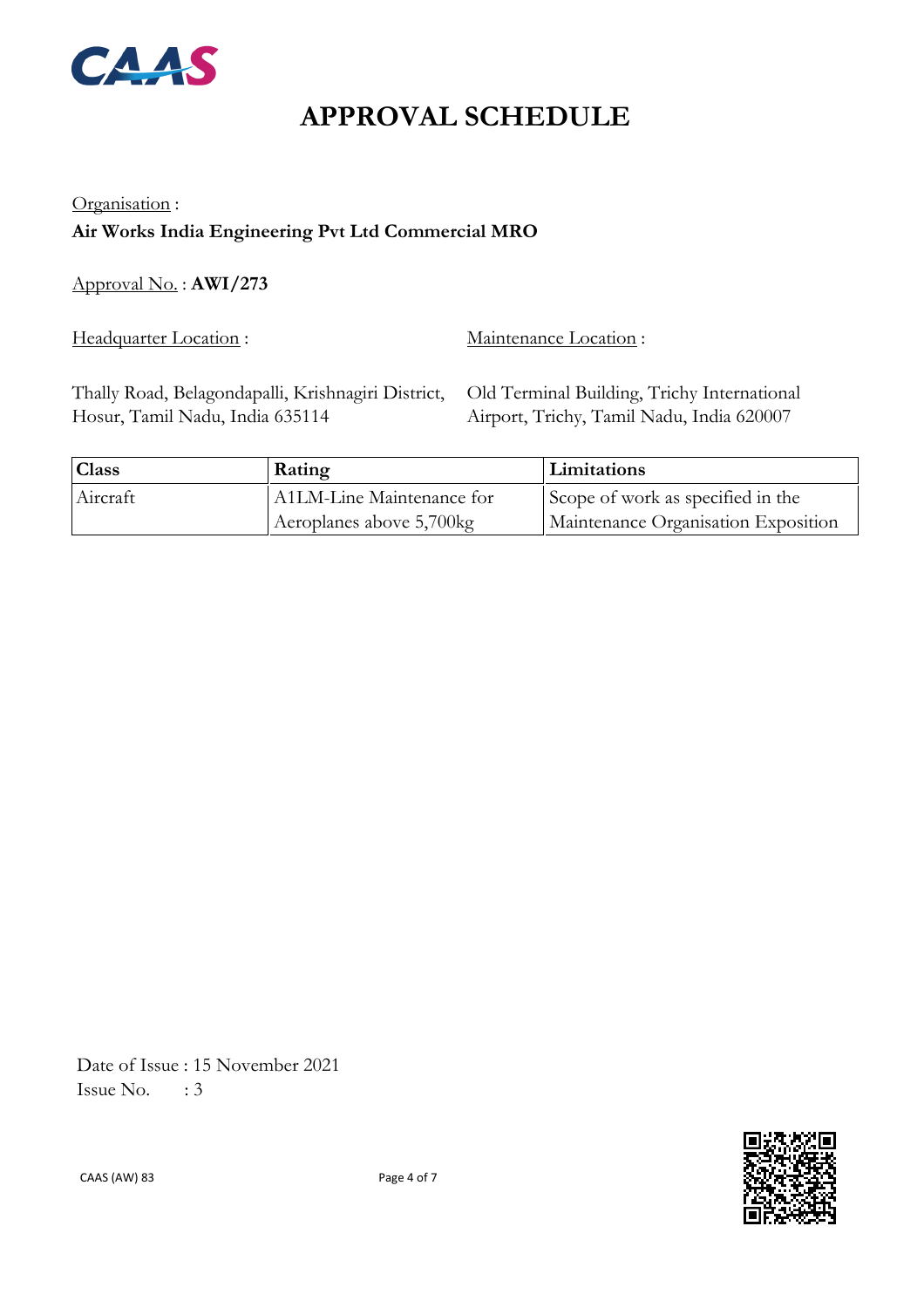

### Organisation : **Air Works India Engineering Pvt Ltd Commercial MRO**

Approval No. : **AWI/273**

Headquarter Location : Maintenance Location :

Thally Road, Belagondapalli, Krishnagiri District, Hosur, Tamil Nadu, India 635114

Old Terminal Building, Trichy International Airport, Trichy, Tamil Nadu, India 620007

| <b>Class</b> | Rating                    | Limitations                         |
|--------------|---------------------------|-------------------------------------|
| Aircraft     | A1LM-Line Maintenance for | Scope of work as specified in the   |
|              | Aeroplanes above 5,700kg  | Maintenance Organisation Exposition |

 Date of Issue : 15 November 2021 Issue No.  $\therefore$  3



CAAS (AW) 83 Page 4 of 7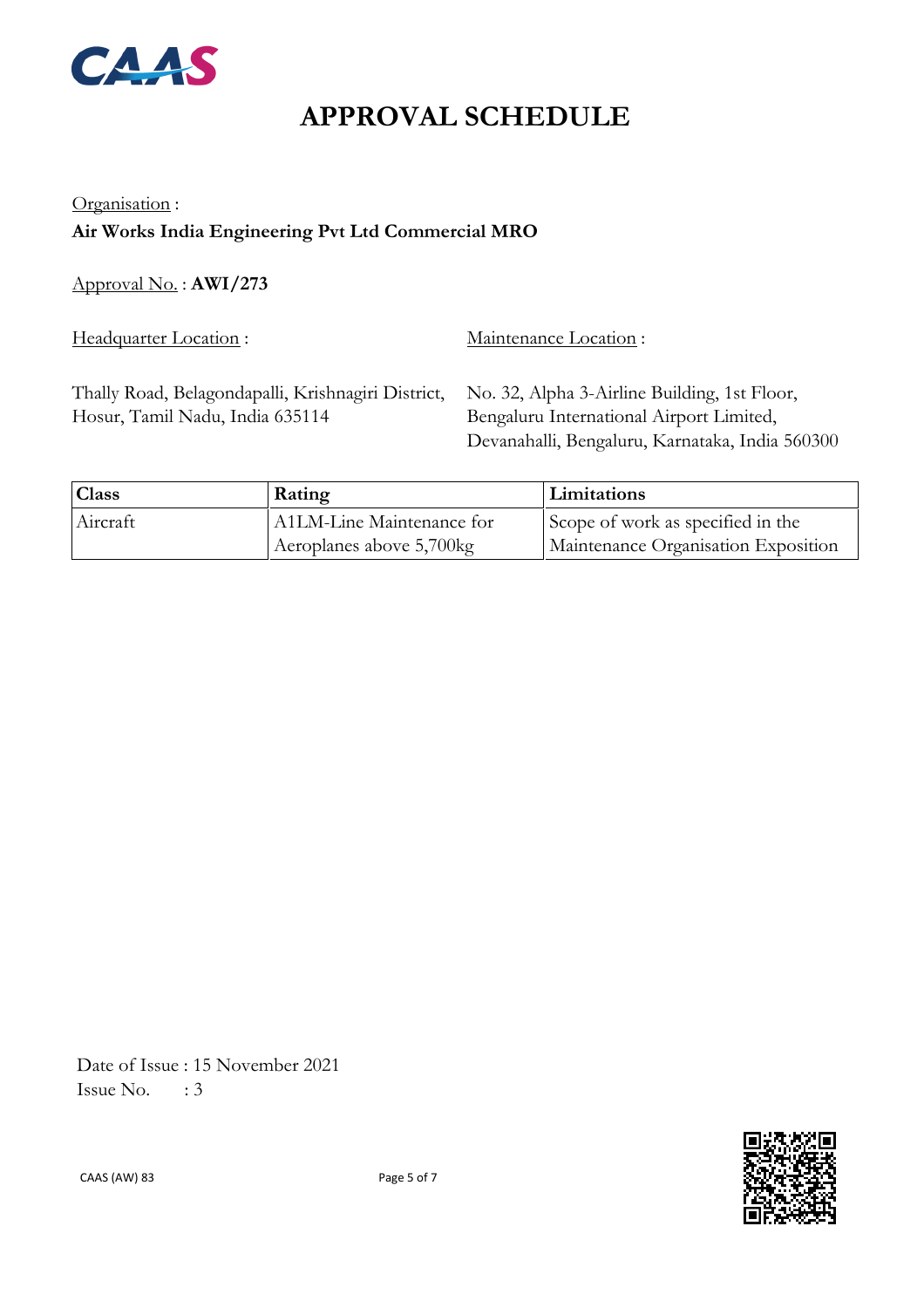

#### Organisation : **Air Works India Engineering Pvt Ltd Commercial MRO**

Approval No. : **AWI/273**

Headquarter Location : Maintenance Location :

Thally Road, Belagondapalli, Krishnagiri District, Hosur, Tamil Nadu, India 635114

No. 32, Alpha 3-Airline Building, 1st Floor, Bengaluru International Airport Limited, Devanahalli, Bengaluru, Karnataka, India 560300

| <b>Class</b> | Rating                    | Limitations                         |
|--------------|---------------------------|-------------------------------------|
| Aircraft     | A1LM-Line Maintenance for | Scope of work as specified in the   |
|              | Aeroplanes above 5,700kg  | Maintenance Organisation Exposition |

 Date of Issue : 15 November 2021 Issue No.  $\therefore$  3

CAAS (AW) 83 Page 5 of 7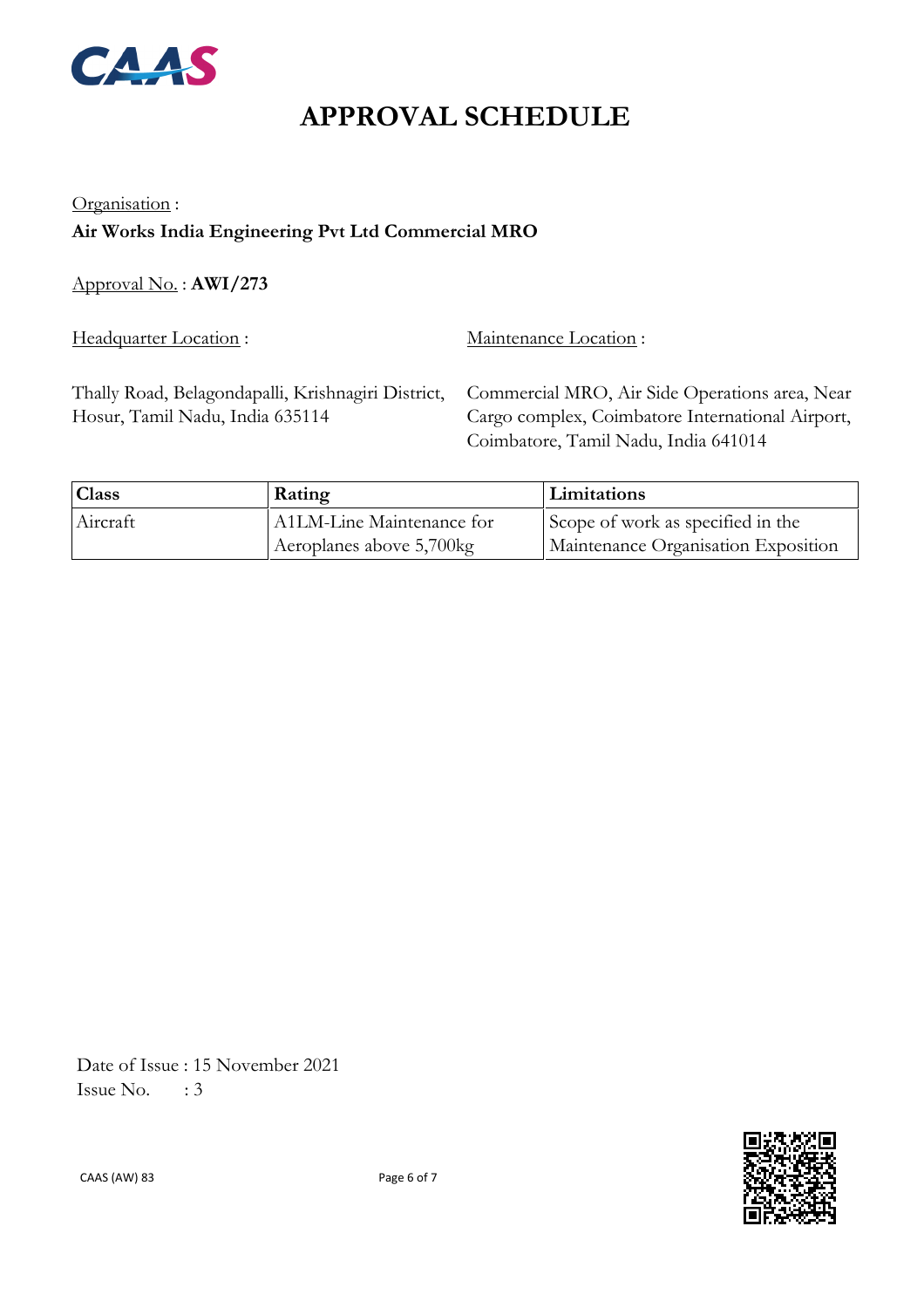

#### Organisation : **Air Works India Engineering Pvt Ltd Commercial MRO**

Approval No. : **AWI/273**

Headquarter Location : Maintenance Location :

Thally Road, Belagondapalli, Krishnagiri District, Hosur, Tamil Nadu, India 635114

Commercial MRO, Air Side Operations area, Near Cargo complex, Coimbatore International Airport, Coimbatore, Tamil Nadu, India 641014

| <sup>1</sup> Class | Rating                    | Limitations                         |
|--------------------|---------------------------|-------------------------------------|
| Aircraft           | A1LM-Line Maintenance for | Scope of work as specified in the   |
|                    | Aeroplanes above 5,700kg  | Maintenance Organisation Exposition |

 Date of Issue : 15 November 2021 Issue No.  $\therefore$  3